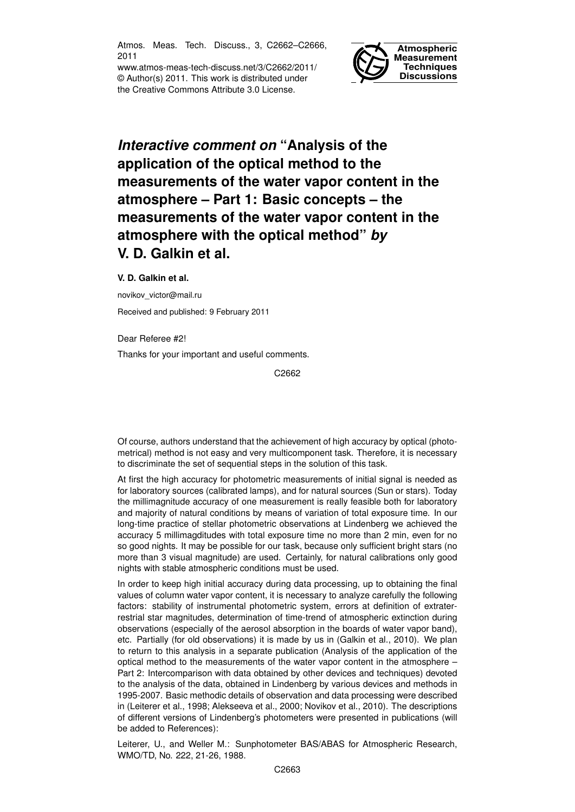Atmos. Meas. Tech. Discuss., 3, C2662–C2666, 2011

www.atmos-meas-tech-discuss.net/3/C2662/2011/ © Author(s) 2011. This work is distributed under the Creative Commons Attribute 3.0 License.



## *Interactive comment on* **"Analysis of the application of the optical method to the measurements of the water vapor content in the atmosphere – Part 1: Basic concepts – the measurements of the water vapor content in the atmosphere with the optical method"** *by* **V. D. Galkin et al.**

## **V. D. Galkin et al.**

novikov\_victor@mail.ru

Received and published: 9 February 2011

Dear Referee #2!

Thanks for your important and useful comments.

C2662

Of course, authors understand that the achievement of high accuracy by optical (photometrical) method is not easy and very multicomponent task. Therefore, it is necessary to discriminate the set of sequential steps in the solution of this task.

At first the high accuracy for photometric measurements of initial signal is needed as for laboratory sources (calibrated lamps), and for natural sources (Sun or stars). Today the millimagnitude accuracy of one measurement is really feasible both for laboratory and majority of natural conditions by means of variation of total exposure time. In our long-time practice of stellar photometric observations at Lindenberg we achieved the accuracy 5 millimagditudes with total exposure time no more than 2 min, even for no so good nights. It may be possible for our task, because only sufficient bright stars (no more than 3 visual magnitude) are used. Certainly, for natural calibrations only good nights with stable atmospheric conditions must be used.

In order to keep high initial accuracy during data processing, up to obtaining the final values of column water vapor content, it is necessary to analyze carefully the following factors: stability of instrumental photometric system, errors at definition of extraterrestrial star magnitudes, determination of time-trend of atmospheric extinction during observations (especially of the aerosol absorption in the boards of water vapor band), etc. Partially (for old observations) it is made by us in (Galkin et al., 2010). We plan to return to this analysis in a separate publication (Analysis of the application of the optical method to the measurements of the water vapor content in the atmosphere – Part 2: Intercomparison with data obtained by other devices and techniques) devoted to the analysis of the data, obtained in Lindenberg by various devices and methods in 1995-2007. Basic methodic details of observation and data processing were described in (Leiterer et al., 1998; Alekseeva et al., 2000; Novikov et al., 2010). The descriptions of different versions of Lindenberg's photometers were presented in publications (will be added to References):

Leiterer, U., and Weller M.: Sunphotometer BAS/ABAS for Atmospheric Research, WMO/TD, No. 222, 21-26, 1988.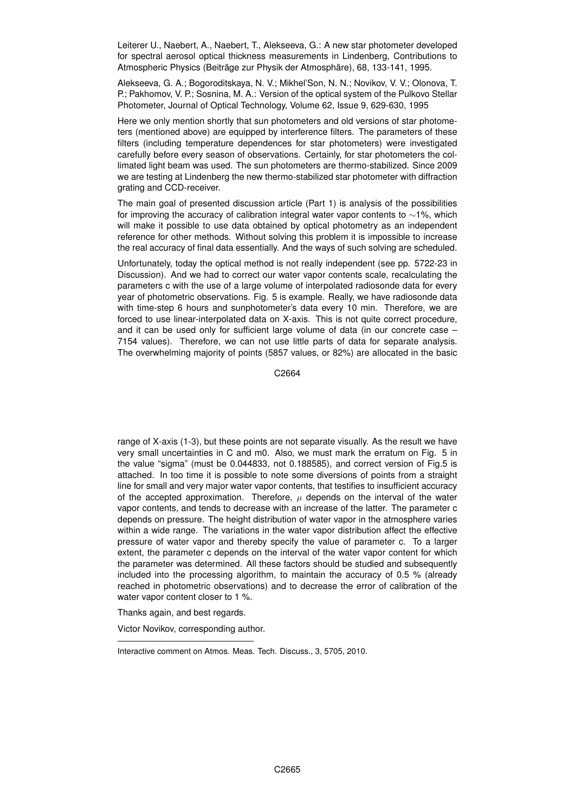Leiterer U., Naebert, A., Naebert, T., Alekseeva, G.: A new star photometer developed for spectral aerosol optical thickness measurements in Lindenberg, Contributions to Atmospheric Physics (Beiträge zur Physik der Atmosphäre), 68, 133-141, 1995.

Alekseeva, G. A.; Bogoroditskaya, N. V.; Mikhel'Son, N. N.; Novikov, V. V.; Olonova, T. P.; Pakhomov, V. P.; Sosnina, M. A.: Version of the optical system of the Pulkovo Stellar Photometer, Journal of Optical Technology, Volume 62, Issue 9, 629-630, 1995

Here we only mention shortly that sun photometers and old versions of star photometers (mentioned above) are equipped by interference filters. The parameters of these filters (including temperature dependences for star photometers) were investigated carefully before every season of observations. Certainly, for star photometers the collimated light beam was used. The sun photometers are thermo-stabilized. Since 2009 we are testing at Lindenberg the new thermo-stabilized star photometer with diffraction grating and CCD-receiver.

The main goal of presented discussion article (Part 1) is analysis of the possibilities for improving the accuracy of calibration integral water vapor contents to ∼1%, which will make it possible to use data obtained by optical photometry as an independent reference for other methods. Without solving this problem it is impossible to increase the real accuracy of final data essentially. And the ways of such solving are scheduled.

Unfortunately, today the optical method is not really independent (see pp. 5722-23 in Discussion). And we had to correct our water vapor contents scale, recalculating the parameters c with the use of a large volume of interpolated radiosonde data for every year of photometric observations. Fig. 5 is example. Really, we have radiosonde data with time-step 6 hours and sunphotometer's data every 10 min. Therefore, we are forced to use linear-interpolated data on X-axis. This is not quite correct procedure, and it can be used only for sufficient large volume of data (in our concrete case – 7154 values). Therefore, we can not use little parts of data for separate analysis. The overwhelming majority of points (5857 values, or 82%) are allocated in the basic

C2664

range of X-axis (1-3), but these points are not separate visually. As the result we have very small uncertainties in C and m0. Also, we must mark the erratum on Fig. 5 in the value "sigma" (must be 0.044833, not 0.188585), and correct version of Fig.5 is attached. In too time it is possible to note some diversions of points from a straight line for small and very major water vapor contents, that testifies to insufficient accuracy of the accepted approximation. Therefore,  $\mu$  depends on the interval of the water vapor contents, and tends to decrease with an increase of the latter. The parameter c depends on pressure. The height distribution of water vapor in the atmosphere varies within a wide range. The variations in the water vapor distribution affect the effective pressure of water vapor and thereby specify the value of parameter c. To a larger extent, the parameter c depends on the interval of the water vapor content for which the parameter was determined. All these factors should be studied and subsequently included into the processing algorithm, to maintain the accuracy of 0.5 % (already reached in photometric observations) and to decrease the error of calibration of the water vapor content closer to 1 %.

Thanks again, and best regards.

Victor Novikov, corresponding author.

Interactive comment on Atmos. Meas. Tech. Discuss., 3, 5705, 2010.